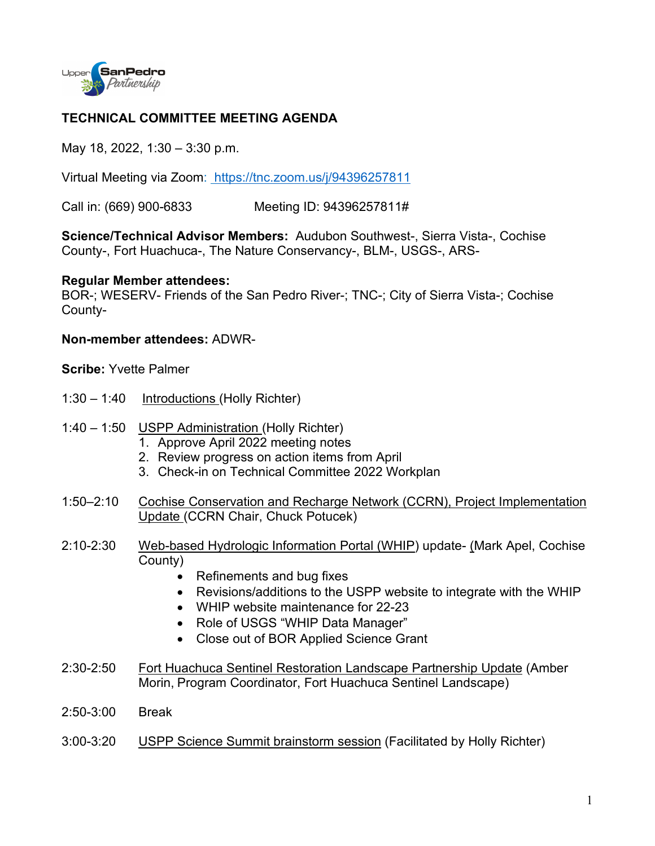

## **TECHNICAL COMMITTEE MEETING AGENDA**

May 18, 2022, 1:30 – 3:30 p.m.

Virtual Meeting via Zoom: <https://tnc.zoom.us/j/94396257811>

Call in: (669) 900-6833 Meeting ID: 94396257811#

**Science/Technical Advisor Members:** Audubon Southwest-, Sierra Vista-, Cochise County-, Fort Huachuca-, The Nature Conservancy-, BLM-, USGS-, ARS-

## **Regular Member attendees:**

BOR-; WESERV- Friends of the San Pedro River-; TNC-; City of Sierra Vista-; Cochise County-

## **Non-member attendees:** ADWR-

**Scribe:** Yvette Palmer

- 1:30 1:40 Introductions (Holly Richter)
- 1:40 1:50 USPP Administration (Holly Richter)
	- 1. Approve April 2022 meeting notes
	- 2. Review progress on action items from April
	- 3. Check-in on Technical Committee 2022 Workplan
- 1:50–2:10 Cochise Conservation and Recharge Network (CCRN), Project Implementation Update (CCRN Chair, Chuck Potucek)
- 2:10-2:30 Web-based Hydrologic Information Portal (WHIP) update- (Mark Apel, Cochise County)
	- Refinements and bug fixes
	- Revisions/additions to the USPP website to integrate with the WHIP
	- WHIP website maintenance for 22-23
	- Role of USGS "WHIP Data Manager"
	- Close out of BOR Applied Science Grant
- 2:30-2:50 Fort Huachuca Sentinel Restoration Landscape Partnership Update (Amber Morin, Program Coordinator, Fort Huachuca Sentinel Landscape)
- 2:50-3:00 Break
- 3:00-3:20 USPP Science Summit brainstorm session (Facilitated by Holly Richter)